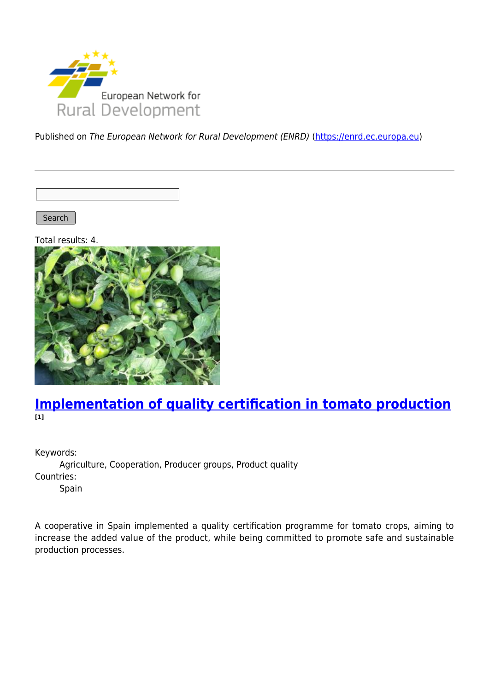

Published on The European Network for Rural Development (ENRD) [\(https://enrd.ec.europa.eu](https://enrd.ec.europa.eu))

Search |

Total results: 4.



### **[Implementation of quality certification in tomato production](https://enrd.ec.europa.eu/projects-practice/implementation-quality-certification-tomato-production_en) [1]**

Keywords:

Agriculture, Cooperation, Producer groups, Product quality Countries: Spain

A cooperative in Spain implemented a quality certification programme for tomato crops, aiming to increase the added value of the product, while being committed to promote safe and sustainable production processes.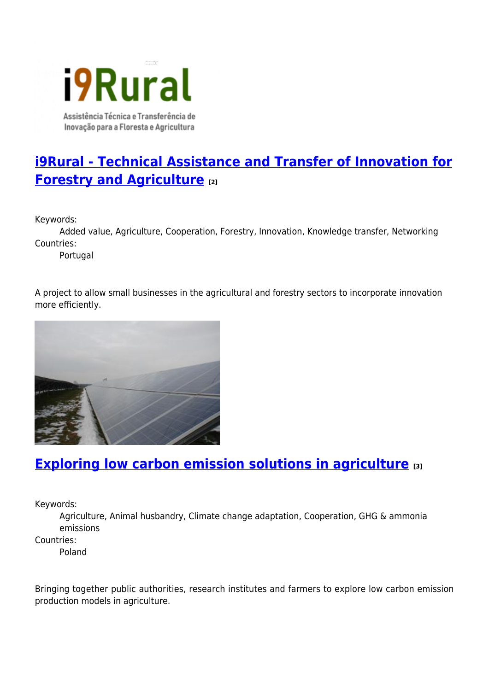Cont i9Rural Assistência Técnica e Transferência de

Inovação para a Floresta e Agricultura

**[i9Rural - Technical Assistance and Transfer of Innovation for](https://enrd.ec.europa.eu/projects-practice/i9rural-technical-assistance-and-transfer-innovation-forestry-and-agriculture_en) [Forestry and Agriculture](https://enrd.ec.europa.eu/projects-practice/i9rural-technical-assistance-and-transfer-innovation-forestry-and-agriculture_en) [2]**

Keywords:

Added value, Agriculture, Cooperation, Forestry, Innovation, Knowledge transfer, Networking Countries:

Portugal

A project to allow small businesses in the agricultural and forestry sectors to incorporate innovation more efficiently.



## **[Exploring low carbon emission solutions in agriculture](https://enrd.ec.europa.eu/projects-practice/exploring-low-carbon-emission-solutions-agriculture_en) [3]**

Keywords:

Agriculture, Animal husbandry, Climate change adaptation, Cooperation, GHG & ammonia emissions

Countries:

Poland

Bringing together public authorities, research institutes and farmers to explore low carbon emission production models in agriculture.